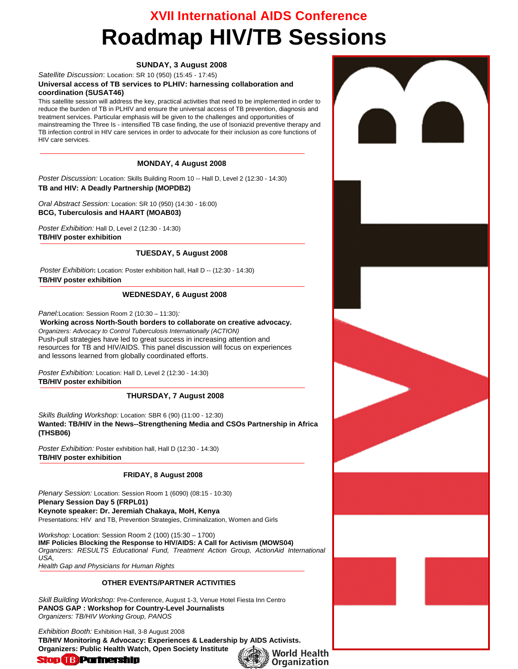# **XVII International AIDS Conference Roadmap HIV/TB Sessions**

#### **SUNDAY, 3 August 2008**

*Satellite Discussion*: Location: SR 10 (950) (15:45 - 17:45)

#### **Universal access of TB services to PLHIV: harnessing collaboration and coordination (SUSAT46)**

This satellite session will address the key, practical activities that need to be implemented in order to reduce the burden of TB in PLHIV and ensure the universal access of TB prevention, diagnosis and treatment services. Particular emphasis will be given to the challenges and opportunities of mainstreaming the Three Is - intensified TB case finding, the use of Isoniazid preventive therapy and TB infection control in HIV care services in order to advocate for their inclusion as core functions of HIV care services.

#### **MONDAY, 4 August 2008**

*Poster Discussion:* Location: Skills Building Room 10 -- Hall D, Level 2 (12:30 - 14:30) **TB and HIV: A Deadly Partnership (MOPDB2)** 

*Oral Abstract Session:* Location: SR 10 (950) (14:30 - 16:00) **BCG, Tuberculosis and HAART (MOAB03)** 

*Poster Exhibition:* Hall D, Level 2 (12:30 - 14:30) **TB/HIV poster exhibition**

#### **TUESDAY, 5 August 2008**

*Poster Exhibition***:** Location: Poster exhibition hall, Hall D -- (12:30 - 14:30) **TB/HIV poster exhibition**

#### **WEDNESDAY, 6 August 2008**

*Panel:*Location: Session Room 2 (10:30 – 11:30)*:* 

#### **Working across North-South borders to collaborate on creative advocacy.**  *Organizers: Advocacy to Control Tuberculosis Internationally (ACTION)*  Push-pull strategies have led to great success in increasing attention and resources for TB and HIV/AIDS. This panel discussion will focus on experiences and lessons learned from globally coordinated efforts.

*Poster Exhibition:* Location: Hall D, Level 2 (12:30 - 14:30) **TB/HIV poster exhibition**

#### **THURSDAY, 7 August 2008**

*Skills Building Workshop:* Location: SBR 6 (90) (11:00 - 12:30) **Wanted: TB/HIV in the News--Strengthening Media and CSOs Partnership in Africa (THSB06)**

*Poster Exhibition:* Poster exhibition hall, Hall D (12:30 - 14:30) **TB/HIV poster exhibition**

#### **FRIDAY, 8 August 2008**

*Plenary Session:* Location: Session Room 1 (6090) (08:15 - 10:30) **Plenary Session Day 5 (FRPL01) Keynote speaker: Dr. Jeremiah Chakaya, MoH, Kenya** 

Presentations: HIV and TB, Prevention Strategies, Criminalization, Women and Girls

*Workshop:* Location: Session Room 2 (100) (15:30 – 1700) **IMF Policies Blocking the Response to HIV/AIDS: A Call for Activism (MOWS04)**  *Organizers: RESULTS Educational Fund, Treatment Action Group, ActionAid International USA, Health Gap and Physicians for Human Rights* 

#### **OTHER EVENTS/PARTNER ACTIVITIES**

*Skill Building Workshop:* Pre-Conference, August 1-3, Venue Hotel Fiesta Inn Centro **PANOS GAP : Workshop for Country-Level Journalists**  *Organizers: TB/HIV Working Group, PANOS* 

*Exhibition Booth:* Exhibition Hall, 3-8 August 2008 **TB/HIV Monitoring & Advocacy: Experiences & Leadership by AIDS Activists. Organizers: Public Health Watch, Open Society Institute** 

# **Stop & Partnership**

▓▒ World Health **Organization**